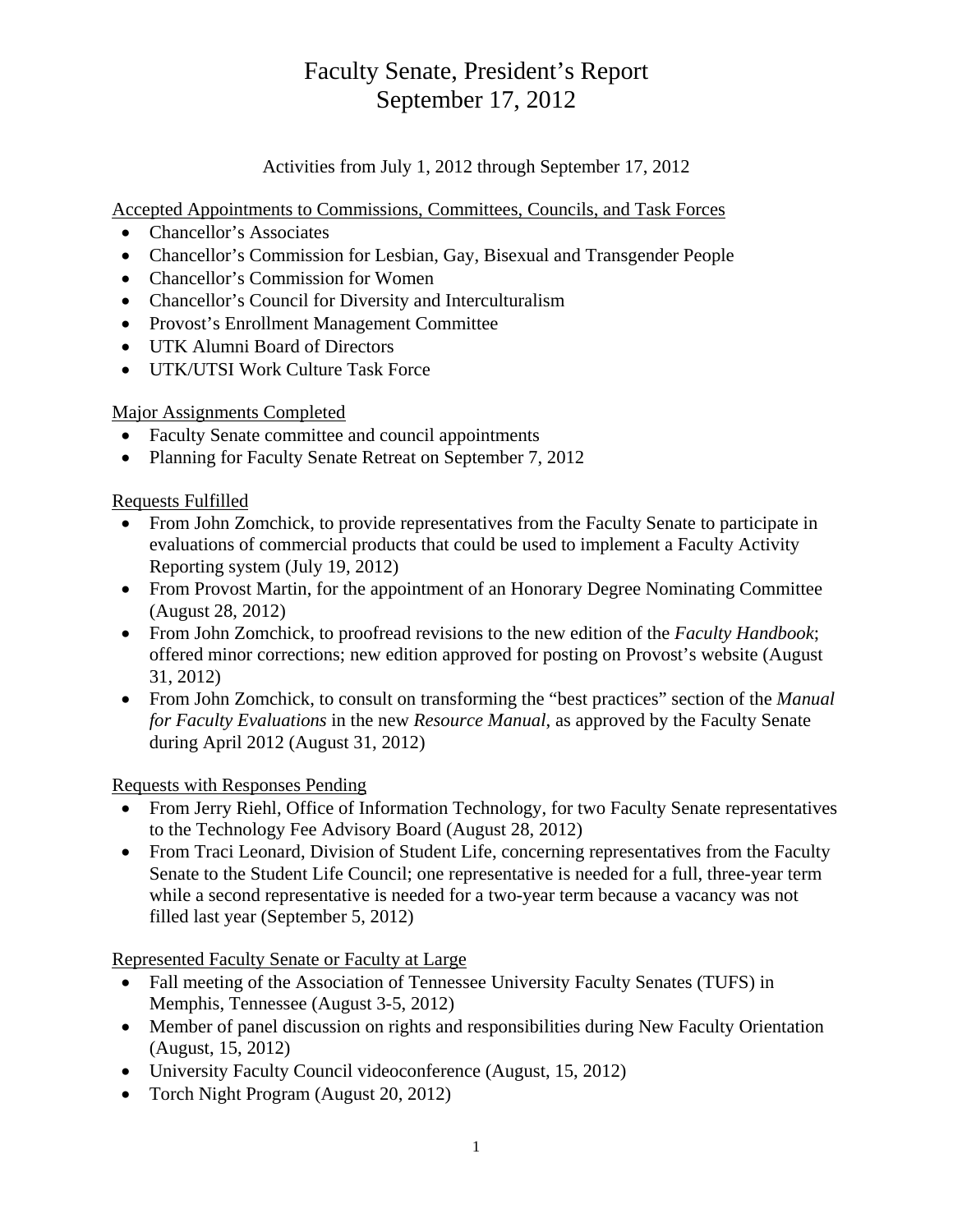## Faculty Senate, President's Report September 17, 2012

Activities from July 1, 2012 through September 17, 2012

Accepted Appointments to Commissions, Committees, Councils, and Task Forces

- Chancellor's Associates
- Chancellor's Commission for Lesbian, Gay, Bisexual and Transgender People
- Chancellor's Commission for Women
- Chancellor's Council for Diversity and Interculturalism
- Provost's Enrollment Management Committee
- UTK Alumni Board of Directors
- UTK/UTSI Work Culture Task Force

Major Assignments Completed

- Faculty Senate committee and council appointments
- Planning for Faculty Senate Retreat on September 7, 2012

Requests Fulfilled

- From John Zomchick, to provide representatives from the Faculty Senate to participate in evaluations of commercial products that could be used to implement a Faculty Activity Reporting system (July 19, 2012)
- From Provost Martin, for the appointment of an Honorary Degree Nominating Committee (August 28, 2012)
- From John Zomchick, to proofread revisions to the new edition of the *Faculty Handbook*; offered minor corrections; new edition approved for posting on Provost's website (August 31, 2012)
- From John Zomchick, to consult on transforming the "best practices" section of the *Manual for Faculty Evaluations* in the new *Resource Manual*, as approved by the Faculty Senate during April 2012 (August 31, 2012)

Requests with Responses Pending

- From Jerry Riehl, Office of Information Technology, for two Faculty Senate representatives to the Technology Fee Advisory Board (August 28, 2012)
- From Traci Leonard, Division of Student Life, concerning representatives from the Faculty Senate to the Student Life Council; one representative is needed for a full, three-year term while a second representative is needed for a two-year term because a vacancy was not filled last year (September 5, 2012)

Represented Faculty Senate or Faculty at Large

- Fall meeting of the Association of Tennessee University Faculty Senates (TUFS) in Memphis, Tennessee (August 3-5, 2012)
- Member of panel discussion on rights and responsibilities during New Faculty Orientation (August, 15, 2012)
- University Faculty Council videoconference (August, 15, 2012)
- Torch Night Program (August 20, 2012)